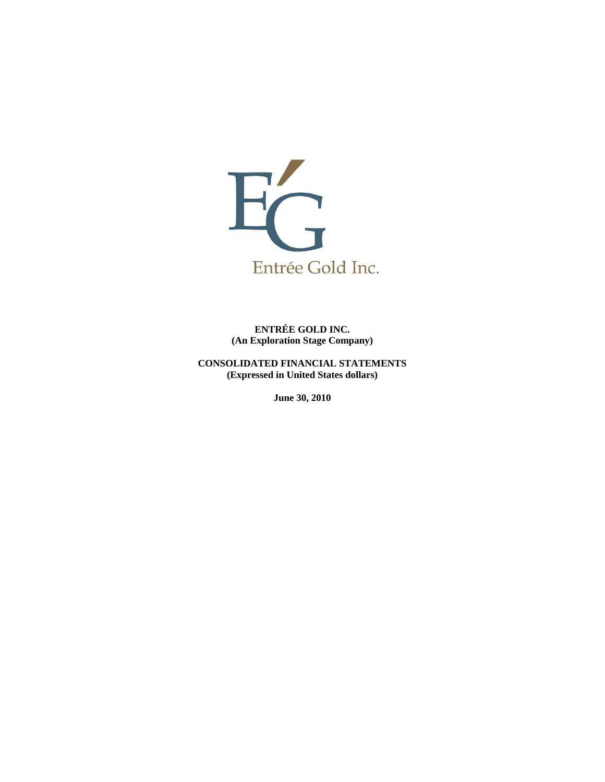

**ENTRÉE GOLD INC. (An Exploration Stage Company)** 

**CONSOLIDATED FINANCIAL STATEMENTS (Expressed in United States dollars)** 

**June 30, 2010**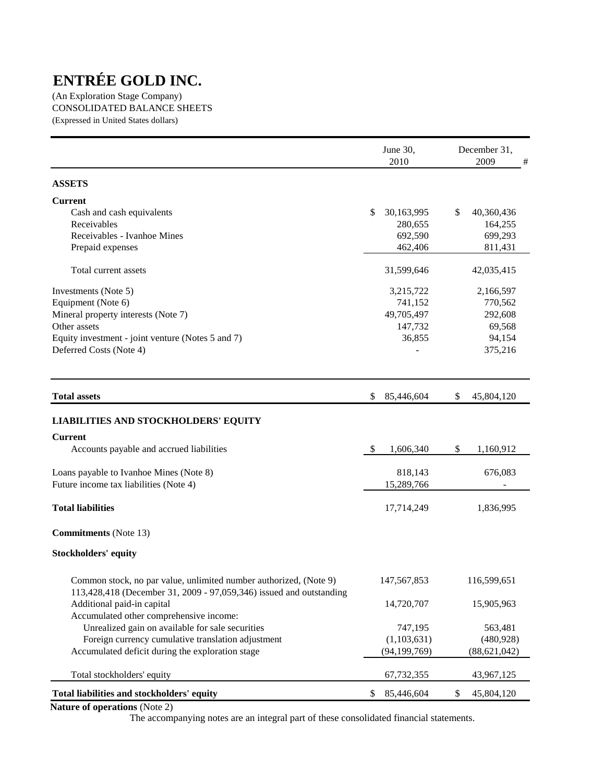(An Exploration Stage Company) CONSOLIDATED BALANCE SHEETS (Expressed in United States dollars)

|                                                                                                                                          | June 30,<br>2010 | December 31,<br>2009<br># |
|------------------------------------------------------------------------------------------------------------------------------------------|------------------|---------------------------|
| <b>ASSETS</b>                                                                                                                            |                  |                           |
| <b>Current</b>                                                                                                                           |                  |                           |
| Cash and cash equivalents                                                                                                                | \$<br>30,163,995 | \$<br>40,360,436          |
| Receivables                                                                                                                              | 280,655          | 164,255                   |
| Receivables - Ivanhoe Mines                                                                                                              | 692,590          | 699,293                   |
| Prepaid expenses                                                                                                                         | 462,406          | 811,431                   |
| Total current assets                                                                                                                     | 31,599,646       | 42,035,415                |
| Investments (Note 5)                                                                                                                     | 3,215,722        | 2,166,597                 |
| Equipment (Note 6)                                                                                                                       | 741,152          | 770,562                   |
| Mineral property interests (Note 7)                                                                                                      | 49,705,497       | 292,608                   |
| Other assets                                                                                                                             | 147,732          | 69,568                    |
| Equity investment - joint venture (Notes 5 and 7)                                                                                        | 36,855           | 94,154                    |
| Deferred Costs (Note 4)                                                                                                                  |                  | 375,216                   |
| <b>Total assets</b>                                                                                                                      | \$<br>85,446,604 | \$<br>45,804,120          |
| <b>LIABILITIES AND STOCKHOLDERS' EQUITY</b>                                                                                              |                  |                           |
|                                                                                                                                          |                  |                           |
| <b>Current</b>                                                                                                                           |                  |                           |
| Accounts payable and accrued liabilities                                                                                                 | -\$<br>1,606,340 | \$<br>1,160,912           |
| Loans payable to Ivanhoe Mines (Note 8)                                                                                                  | 818,143          | 676,083                   |
| Future income tax liabilities (Note 4)                                                                                                   | 15,289,766       |                           |
| <b>Total liabilities</b>                                                                                                                 | 17,714,249       | 1,836,995                 |
| <b>Commitments</b> (Note 13)                                                                                                             |                  |                           |
| <b>Stockholders' equity</b>                                                                                                              |                  |                           |
| Common stock, no par value, unlimited number authorized, (Note 9)<br>113,428,418 (December 31, 2009 - 97,059,346) issued and outstanding | 147, 567, 853    | 116,599,651               |
| Additional paid-in capital                                                                                                               | 14,720,707       | 15,905,963                |
| Accumulated other comprehensive income:                                                                                                  |                  |                           |
| Unrealized gain on available for sale securities                                                                                         | 747,195          | 563,481                   |
| Foreign currency cumulative translation adjustment                                                                                       | (1,103,631)      | (480, 928)                |
| Accumulated deficit during the exploration stage                                                                                         | (94, 199, 769)   | (88, 621, 042)            |
| Total stockholders' equity                                                                                                               | 67,732,355       | 43,967,125                |
| Total liabilities and stockholders' equity                                                                                               | 85,446,604<br>\$ | 45,804,120<br>\$          |

**Nature of operations** (Note 2)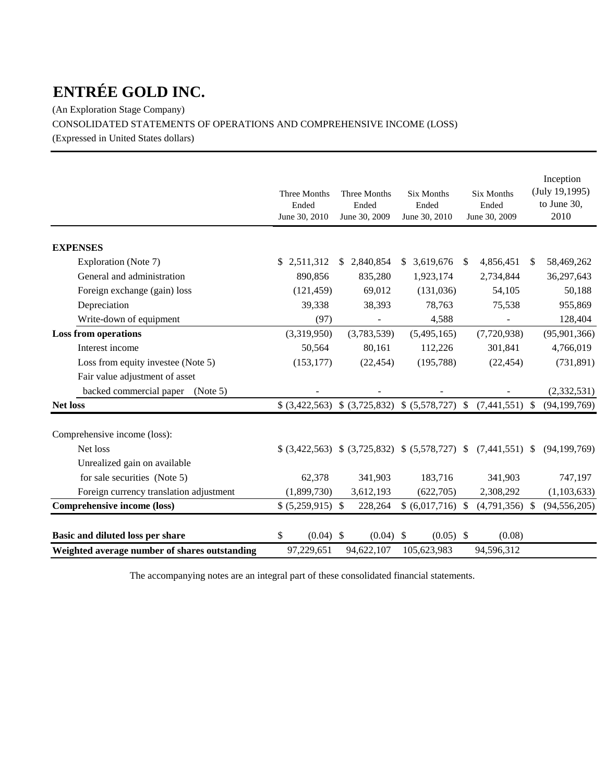(An Exploration Stage Company) CONSOLIDATED STATEMENTS OF OPERATIONS AND COMPREHENSIVE INCOME (LOSS) (Expressed in United States dollars)

|                                               | Three Months<br>Ended<br>June 30, 2010 | Three Months<br>Ended<br>June 30, 2009 | <b>Six Months</b><br>Ended<br>June 30, 2010        | <b>Six Months</b><br>Ended<br>June 30, 2009 | Inception<br>(July 19, 1995)<br>to June 30,<br>2010 |
|-----------------------------------------------|----------------------------------------|----------------------------------------|----------------------------------------------------|---------------------------------------------|-----------------------------------------------------|
| <b>EXPENSES</b>                               |                                        |                                        |                                                    |                                             |                                                     |
| Exploration (Note 7)                          | \$2,511,312                            | \$2,840,854                            | \$3,619,676                                        | 4,856,451<br><sup>S</sup>                   | $\frac{1}{2}$<br>58,469,262                         |
| General and administration                    | 890,856                                | 835,280                                | 1,923,174                                          | 2,734,844                                   | 36,297,643                                          |
| Foreign exchange (gain) loss                  | (121, 459)                             | 69,012                                 | (131,036)                                          | 54,105                                      | 50,188                                              |
| Depreciation                                  | 39,338                                 | 38,393                                 | 78,763                                             | 75,538                                      | 955,869                                             |
| Write-down of equipment                       | (97)                                   |                                        | 4,588                                              |                                             | 128,404                                             |
| <b>Loss from operations</b>                   | (3,319,950)                            | (3,783,539)                            | (5,495,165)                                        | (7,720,938)                                 | (95, 901, 366)                                      |
| Interest income                               | 50,564                                 | 80,161                                 | 112,226                                            | 301,841                                     | 4,766,019                                           |
| Loss from equity investee (Note 5)            | (153, 177)                             | (22, 454)                              | (195, 788)                                         | (22, 454)                                   | (731, 891)                                          |
| Fair value adjustment of asset                |                                        |                                        |                                                    |                                             |                                                     |
| backed commercial paper<br>(Note 5)           |                                        |                                        |                                                    |                                             | (2, 332, 531)                                       |
| <b>Net loss</b>                               | \$ (3,422,563)                         | \$ (3,725,832)                         | $$ (5,578,727)$ \;                                 | (7,441,551)                                 | (94, 199, 769)<br>-\$                               |
| Comprehensive income (loss):                  |                                        |                                        |                                                    |                                             |                                                     |
| Net loss                                      |                                        |                                        | $(3,422,563)$ \$ $(3,725,832)$ \$ $(5,578,727)$ \$ | $(7,441,551)$ \$                            | (94, 199, 769)                                      |
| Unrealized gain on available                  |                                        |                                        |                                                    |                                             |                                                     |
| for sale securities (Note 5)                  | 62,378                                 | 341,903                                | 183,716                                            | 341,903                                     | 747,197                                             |
| Foreign currency translation adjustment       | (1,899,730)                            | 3,612,193                              | (622,705)                                          | 2,308,292                                   | (1,103,633)                                         |
| Comprehensive income (loss)                   | $$ (5,259,915)$ \\$                    | 228,264                                | $$ (6,017,716)$ \\$                                | $(4,791,356)$ \$                            | (94, 556, 205)                                      |
| Basic and diluted loss per share              | $(0.04)$ \$<br>\$                      | $(0.04)$ \$                            | $(0.05)$ \$                                        | (0.08)                                      |                                                     |
| Weighted average number of shares outstanding | 97,229,651                             | 94,622,107                             | 105,623,983                                        | 94,596,312                                  |                                                     |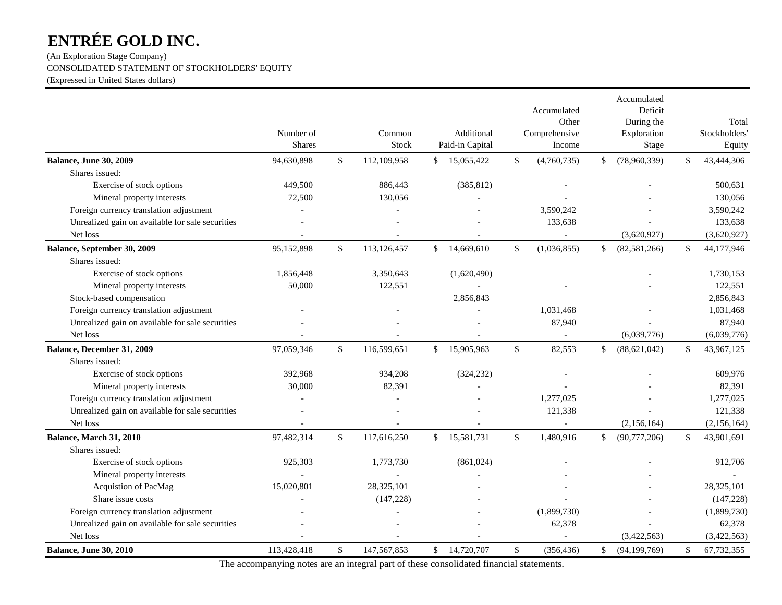(An Exploration Stage Company) CONSOLIDATED STATEMENT OF STOCKHOLDERS' EQUITY (Expressed in United States dollars)

|                                                  | Number of<br><b>Shares</b> |              | Common<br>Stock |              | Additional<br>Paid-in Capital |              | Accumulated<br>Other<br>Comprehensive<br>Income | Accumulated<br>Deficit<br>During the<br>Exploration<br><b>Stage</b> |              | Total<br>Stockholders'<br>Equity |
|--------------------------------------------------|----------------------------|--------------|-----------------|--------------|-------------------------------|--------------|-------------------------------------------------|---------------------------------------------------------------------|--------------|----------------------------------|
| <b>Balance, June 30, 2009</b>                    | 94,630,898                 | $\mathbb{S}$ | 112,109,958     | \$           | 15,055,422                    | \$           | (4,760,735)                                     | \$<br>(78,960,339)                                                  | \$           | 43,444,306                       |
| Shares issued:                                   |                            |              |                 |              |                               |              |                                                 |                                                                     |              |                                  |
| Exercise of stock options                        | 449,500                    |              | 886,443         |              | (385, 812)                    |              |                                                 |                                                                     |              | 500,631                          |
| Mineral property interests                       | 72,500                     |              | 130,056         |              |                               |              |                                                 |                                                                     |              | 130,056                          |
| Foreign currency translation adjustment          |                            |              |                 |              |                               |              | 3,590,242                                       |                                                                     |              | 3,590,242                        |
| Unrealized gain on available for sale securities |                            |              |                 |              |                               |              | 133,638                                         |                                                                     |              | 133,638                          |
| Net loss                                         |                            |              |                 |              |                               |              |                                                 | (3,620,927)                                                         |              | (3,620,927)                      |
| Balance, September 30, 2009                      | 95,152,898                 | \$           | 113,126,457     | \$           | 14,669,610                    | $\mathbb{S}$ | (1,036,855)                                     | \$<br>(82, 581, 266)                                                | $\mathbb{S}$ | 44,177,946                       |
| Shares issued:                                   |                            |              |                 |              |                               |              |                                                 |                                                                     |              |                                  |
| Exercise of stock options                        | 1,856,448                  |              | 3,350,643       |              | (1,620,490)                   |              |                                                 |                                                                     |              | 1,730,153                        |
| Mineral property interests                       | 50,000                     |              | 122,551         |              |                               |              |                                                 |                                                                     |              | 122,551                          |
| Stock-based compensation                         |                            |              |                 |              | 2,856,843                     |              |                                                 |                                                                     |              | 2,856,843                        |
| Foreign currency translation adjustment          |                            |              |                 |              |                               |              | 1,031,468                                       |                                                                     |              | 1,031,468                        |
| Unrealized gain on available for sale securities |                            |              |                 |              |                               |              | 87,940                                          |                                                                     |              | 87,940                           |
| Net loss                                         |                            |              |                 |              |                               |              | $\sim$                                          | (6,039,776)                                                         |              | (6,039,776)                      |
| Balance, December 31, 2009                       | 97,059,346                 | $\mathbb{S}$ | 116,599,651     | \$           | 15,905,963                    | \$           | 82,553                                          | \$<br>(88, 621, 042)                                                | $\mathbb{S}$ | 43,967,125                       |
| Shares issued:                                   |                            |              |                 |              |                               |              |                                                 |                                                                     |              |                                  |
| Exercise of stock options                        | 392,968                    |              | 934,208         |              | (324, 232)                    |              |                                                 |                                                                     |              | 609,976                          |
| Mineral property interests                       | 30,000                     |              | 82,391          |              |                               |              |                                                 |                                                                     |              | 82,391                           |
| Foreign currency translation adjustment          |                            |              |                 |              |                               |              | 1,277,025                                       |                                                                     |              | 1,277,025                        |
| Unrealized gain on available for sale securities |                            |              |                 |              |                               |              | 121,338                                         |                                                                     |              | 121,338                          |
| Net loss                                         |                            |              |                 |              |                               |              |                                                 | (2,156,164)                                                         |              | (2, 156, 164)                    |
| Balance, March 31, 2010                          | 97,482,314                 | $\mathbb{S}$ | 117,616,250     | $\mathbb{S}$ | 15,581,731                    | \$           | 1,480,916                                       | \$<br>(90, 777, 206)                                                | $\mathbb{S}$ | 43,901,691                       |
| Shares issued:                                   |                            |              |                 |              |                               |              |                                                 |                                                                     |              |                                  |
| Exercise of stock options                        | 925,303                    |              | 1,773,730       |              | (861,024)                     |              |                                                 |                                                                     |              | 912,706                          |
| Mineral property interests                       |                            |              |                 |              |                               |              |                                                 |                                                                     |              |                                  |
| Acquistion of PacMag                             | 15,020,801                 |              | 28,325,101      |              |                               |              |                                                 |                                                                     |              | 28,325,101                       |
| Share issue costs                                |                            |              | (147, 228)      |              |                               |              |                                                 |                                                                     |              | (147, 228)                       |
| Foreign currency translation adjustment          |                            |              |                 |              |                               |              | (1,899,730)                                     |                                                                     |              | (1,899,730)                      |
| Unrealized gain on available for sale securities |                            |              |                 |              |                               |              | 62,378                                          |                                                                     |              | 62,378                           |
| Net loss                                         |                            |              |                 |              |                               |              |                                                 | (3,422,563)                                                         |              | (3,422,563)                      |
| <b>Balance, June 30, 2010</b>                    | 113,428,418                | \$           | 147,567,853     | \$           | 14,720,707                    | \$           | (356, 436)                                      | \$<br>(94, 199, 769)                                                | \$           | 67,732,355                       |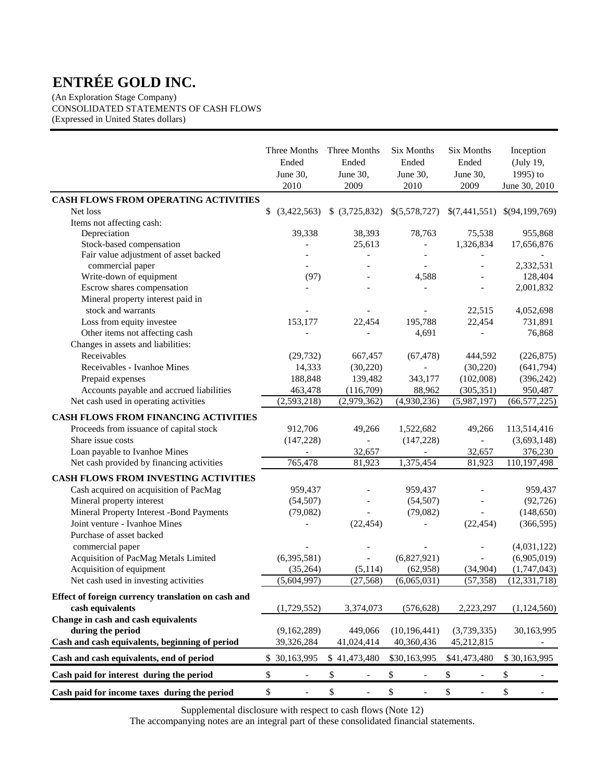(An Exploration Stage Company) CONSOLIDATED STATEMENTS OF CASH FLOWS (Expressed in United States dollars)

|                                                           | Three Months<br>Ended<br>June 30,<br>2010 | Three Months<br>Ended<br>June 30,<br>2009 | <b>Six Months</b><br>Ended<br>June 30,<br>2010 | <b>Six Months</b><br>Ended<br>June 30,<br>2009 | Inception<br>(July 19,<br>1995) to<br>June 30, 2010 |
|-----------------------------------------------------------|-------------------------------------------|-------------------------------------------|------------------------------------------------|------------------------------------------------|-----------------------------------------------------|
| CASH FLOWS FROM OPERATING ACTIVITIES                      |                                           |                                           |                                                |                                                |                                                     |
| Net loss                                                  | (3,422,563)                               | \$ (3,725,832)                            | \$(5,578,727)                                  |                                                | $$(7,441,551) \$(94,199,769)$                       |
| Items not affecting cash:                                 |                                           |                                           |                                                |                                                |                                                     |
| Depreciation                                              | 39,338                                    | 38,393                                    | 78,763                                         | 75,538                                         | 955,868                                             |
| Stock-based compensation                                  |                                           | 25,613                                    |                                                | 1,326,834                                      | 17,656,876                                          |
| Fair value adjustment of asset backed<br>commercial paper |                                           |                                           |                                                |                                                | 2,332,531                                           |
| Write-down of equipment                                   | (97)                                      |                                           | 4,588                                          | $\overline{a}$                                 | 128,404                                             |
| Escrow shares compensation                                |                                           |                                           | $\overline{a}$                                 |                                                | 2,001,832                                           |
| Mineral property interest paid in<br>stock and warrants   |                                           |                                           |                                                | 22,515                                         | 4,052,698                                           |
| Loss from equity investee                                 | 153,177                                   | 22,454                                    | 195,788                                        | 22,454                                         | 731,891                                             |
|                                                           |                                           |                                           |                                                |                                                |                                                     |
| Other items not affecting cash                            |                                           |                                           | 4,691                                          |                                                | 76,868                                              |
| Changes in assets and liabilities:<br>Receivables         |                                           |                                           |                                                |                                                |                                                     |
| Receivables - Ivanhoe Mines                               | (29, 732)                                 | 667,457                                   | (67, 478)                                      | 444,592                                        | (226, 875)                                          |
|                                                           | 14,333                                    | (30, 220)                                 |                                                | (30, 220)                                      | (641,794)                                           |
| Prepaid expenses                                          | 188,848                                   | 139,482                                   | 343,177                                        | (102,008)                                      | (396, 242)                                          |
| Accounts payable and accrued liabilities                  | 463,478                                   | (116,709)                                 | 88,962                                         | (305, 351)                                     | 950,487                                             |
| Net cash used in operating activities                     | (2,593,218)                               | (2,979,362)                               | (4,930,236)                                    | (5,987,197)                                    | (66, 577, 225)                                      |
| <b>CASH FLOWS FROM FINANCING ACTIVITIES</b>               |                                           |                                           |                                                |                                                |                                                     |
| Proceeds from issuance of capital stock                   | 912,706                                   | 49,266                                    | 1,522,682                                      | 49,266                                         | 113,514,416                                         |
| Share issue costs                                         | (147, 228)                                |                                           | (147, 228)                                     | $\overline{\phantom{0}}$                       | (3,693,148)                                         |
| Loan payable to Ivanhoe Mines                             |                                           | 32,657                                    |                                                | 32,657                                         | 376,230                                             |
| Net cash provided by financing activities                 | 765,478                                   | 81,923                                    | 1,375,454                                      | 81,923                                         | 110,197,498                                         |
| CASH FLOWS FROM INVESTING ACTIVITIES                      |                                           |                                           |                                                |                                                |                                                     |
| Cash acquired on acquisition of PacMag                    | 959,437                                   |                                           | 959,437                                        |                                                | 959,437                                             |
| Mineral property interest                                 | (54, 507)                                 |                                           | (54, 507)                                      |                                                | (92, 726)                                           |
| Mineral Property Interest -Bond Payments                  | (79,082)                                  |                                           | (79,082)                                       |                                                | (148, 650)                                          |
| Joint venture - Ivanhoe Mines                             |                                           | (22, 454)                                 |                                                | (22, 454)                                      | (366, 595)                                          |
| Purchase of asset backed                                  |                                           |                                           |                                                |                                                |                                                     |
| commercial paper                                          |                                           |                                           |                                                |                                                | (4,031,122)                                         |
| Acquisition of PacMag Metals Limited                      | (6,395,581)                               |                                           | (6,827,921)                                    |                                                | (6,905,019)                                         |
| Acquisition of equipment                                  | (35, 264)                                 | (5, 114)                                  | (62,958)                                       | (34,904)                                       | (1,747,043)                                         |
| Net cash used in investing activities                     | (5,604,997)                               | (27, 568)                                 | (6,065,031)                                    | (57, 358)                                      | (12, 331, 718)                                      |
|                                                           |                                           |                                           |                                                |                                                |                                                     |
| Effect of foreign currency translation on cash and        |                                           |                                           |                                                |                                                |                                                     |
| cash equivalents                                          | (1,729,552)                               | 3,374,073                                 | (576, 628)                                     | 2,223,297                                      | (1,124,560)                                         |
| Change in cash and cash equivalents                       |                                           |                                           |                                                |                                                |                                                     |
| during the period                                         | (9,162,289)                               | 449,066                                   | (10, 196, 441)                                 | (3,739,335)                                    | 30,163,995                                          |
| Cash and cash equivalents, beginning of period            | 39,326,284                                | 41,024,414                                | 40,360,436                                     | 45,212,815                                     |                                                     |
| Cash and cash equivalents, end of period                  | \$30,163,995                              | \$41,473,480                              | \$30,163,995                                   | \$41,473,480                                   | \$30,163,995                                        |
| Cash paid for interest during the period                  | \$                                        | \$                                        | \$                                             | \$                                             | \$                                                  |
| Cash paid for income taxes during the period              | \$                                        | \$                                        | \$                                             | $\$$                                           | \$                                                  |

Supplemental disclosure with respect to cash flows (Note 12)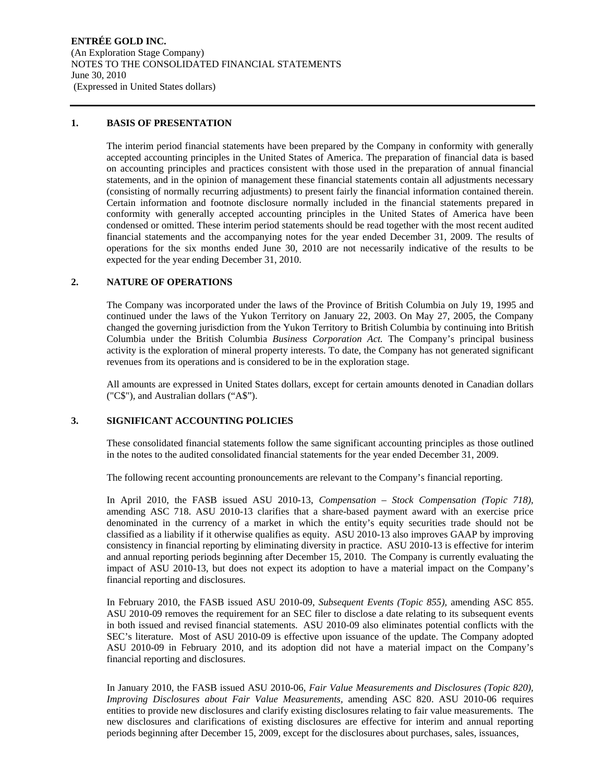#### **1. BASIS OF PRESENTATION**

The interim period financial statements have been prepared by the Company in conformity with generally accepted accounting principles in the United States of America. The preparation of financial data is based on accounting principles and practices consistent with those used in the preparation of annual financial statements, and in the opinion of management these financial statements contain all adjustments necessary (consisting of normally recurring adjustments) to present fairly the financial information contained therein. Certain information and footnote disclosure normally included in the financial statements prepared in conformity with generally accepted accounting principles in the United States of America have been condensed or omitted. These interim period statements should be read together with the most recent audited financial statements and the accompanying notes for the year ended December 31, 2009. The results of operations for the six months ended June 30, 2010 are not necessarily indicative of the results to be expected for the year ending December 31, 2010.

# **2. NATURE OF OPERATIONS**

The Company was incorporated under the laws of the Province of British Columbia on July 19, 1995 and continued under the laws of the Yukon Territory on January 22, 2003. On May 27, 2005, the Company changed the governing jurisdiction from the Yukon Territory to British Columbia by continuing into British Columbia under the British Columbia *Business Corporation Act.* The Company's principal business activity is the exploration of mineral property interests. To date, the Company has not generated significant revenues from its operations and is considered to be in the exploration stage.

All amounts are expressed in United States dollars, except for certain amounts denoted in Canadian dollars ("C\$"), and Australian dollars ("A\$").

#### **3. SIGNIFICANT ACCOUNTING POLICIES**

These consolidated financial statements follow the same significant accounting principles as those outlined in the notes to the audited consolidated financial statements for the year ended December 31, 2009.

The following recent accounting pronouncements are relevant to the Company's financial reporting.

In April 2010, the FASB issued ASU 2010-13, *Compensation – Stock Compensation (Topic 718),*  amending ASC 718. ASU 2010-13 clarifies that a share-based payment award with an exercise price denominated in the currency of a market in which the entity's equity securities trade should not be classified as a liability if it otherwise qualifies as equity. ASU 2010-13 also improves GAAP by improving consistency in financial reporting by eliminating diversity in practice. ASU 2010-13 is effective for interim and annual reporting periods beginning after December 15, 2010. The Company is currently evaluating the impact of ASU 2010-13, but does not expect its adoption to have a material impact on the Company's financial reporting and disclosures.

In February 2010, the FASB issued ASU 2010-09, *Subsequent Events (Topic 855),* amending ASC 855. ASU 2010-09 removes the requirement for an SEC filer to disclose a date relating to its subsequent events in both issued and revised financial statements. ASU 2010-09 also eliminates potential conflicts with the SEC's literature. Most of ASU 2010-09 is effective upon issuance of the update. The Company adopted ASU 2010-09 in February 2010, and its adoption did not have a material impact on the Company's financial reporting and disclosures.

In January 2010, the FASB issued ASU 2010-06, *Fair Value Measurements and Disclosures (Topic 820), Improving Disclosures about Fair Value Measurements,* amending ASC 820. ASU 2010-06 requires entities to provide new disclosures and clarify existing disclosures relating to fair value measurements. The new disclosures and clarifications of existing disclosures are effective for interim and annual reporting periods beginning after December 15, 2009, except for the disclosures about purchases, sales, issuances,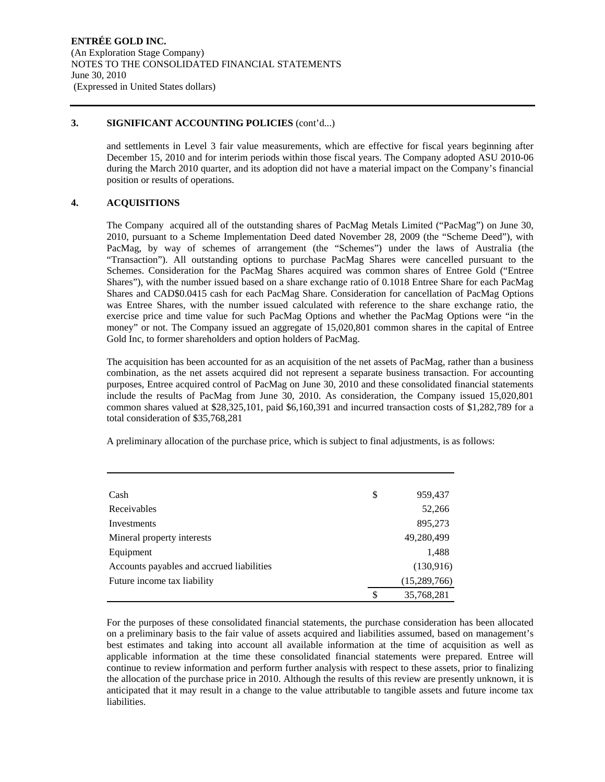#### **3. SIGNIFICANT ACCOUNTING POLICIES** (cont'd...)

and settlements in Level 3 fair value measurements, which are effective for fiscal years beginning after December 15, 2010 and for interim periods within those fiscal years. The Company adopted ASU 2010-06 during the March 2010 quarter, and its adoption did not have a material impact on the Company's financial position or results of operations.

# **4. ACQUISITIONS**

The Company acquired all of the outstanding shares of PacMag Metals Limited ("PacMag") on June 30, 2010, pursuant to a Scheme Implementation Deed dated November 28, 2009 (the "Scheme Deed"), with PacMag, by way of schemes of arrangement (the "Schemes") under the laws of Australia (the "Transaction"). All outstanding options to purchase PacMag Shares were cancelled pursuant to the Schemes. Consideration for the PacMag Shares acquired was common shares of Entree Gold ("Entree Shares"), with the number issued based on a share exchange ratio of 0.1018 Entree Share for each PacMag Shares and CAD\$0.0415 cash for each PacMag Share. Consideration for cancellation of PacMag Options was Entree Shares, with the number issued calculated with reference to the share exchange ratio, the exercise price and time value for such PacMag Options and whether the PacMag Options were "in the money" or not. The Company issued an aggregate of 15,020,801 common shares in the capital of Entree Gold Inc, to former shareholders and option holders of PacMag.

The acquisition has been accounted for as an acquisition of the net assets of PacMag, rather than a business combination, as the net assets acquired did not represent a separate business transaction. For accounting purposes, Entree acquired control of PacMag on June 30, 2010 and these consolidated financial statements include the results of PacMag from June 30, 2010. As consideration, the Company issued 15,020,801 common shares valued at \$28,325,101, paid \$6,160,391 and incurred transaction costs of \$1,282,789 for a total consideration of \$35,768,281

A preliminary allocation of the purchase price, which is subject to final adjustments, is as follows:

| Cash                                      | \$ | 959,437        |
|-------------------------------------------|----|----------------|
| Receivables                               |    | 52,266         |
| Investments                               |    | 895,273        |
| Mineral property interests                |    | 49,280,499     |
| Equipment                                 |    | 1,488          |
| Accounts payables and accrued liabilities |    | (130,916)      |
| Future income tax liability               |    | (15, 289, 766) |
|                                           | S  | 35,768,281     |

For the purposes of these consolidated financial statements, the purchase consideration has been allocated on a preliminary basis to the fair value of assets acquired and liabilities assumed, based on management's best estimates and taking into account all available information at the time of acquisition as well as applicable information at the time these consolidated financial statements were prepared. Entree will continue to review information and perform further analysis with respect to these assets, prior to finalizing the allocation of the purchase price in 2010. Although the results of this review are presently unknown, it is anticipated that it may result in a change to the value attributable to tangible assets and future income tax liabilities.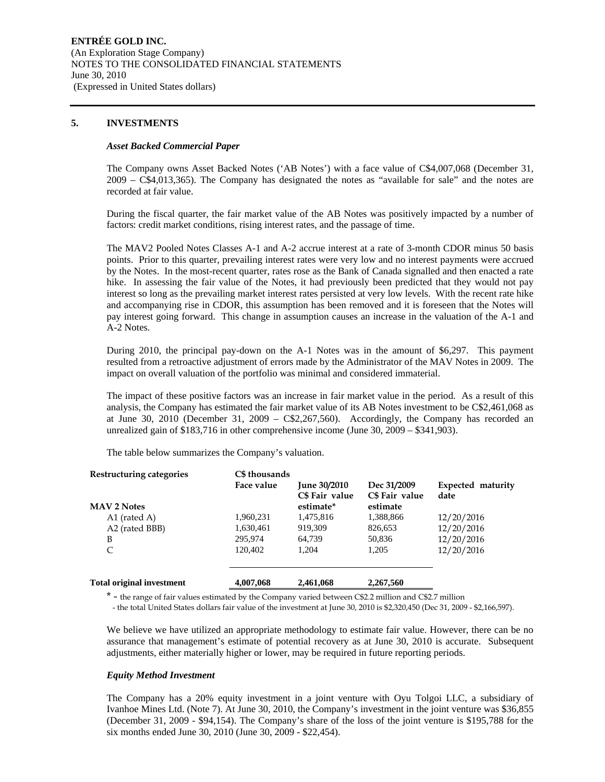#### **5. INVESTMENTS**

#### *Asset Backed Commercial Paper*

The Company owns Asset Backed Notes ('AB Notes') with a face value of C\$4,007,068 (December 31, 2009 – C\$4,013,365). The Company has designated the notes as "available for sale" and the notes are recorded at fair value.

During the fiscal quarter, the fair market value of the AB Notes was positively impacted by a number of factors: credit market conditions, rising interest rates, and the passage of time.

The MAV2 Pooled Notes Classes A-1 and A-2 accrue interest at a rate of 3-month CDOR minus 50 basis points. Prior to this quarter, prevailing interest rates were very low and no interest payments were accrued by the Notes. In the most-recent quarter, rates rose as the Bank of Canada signalled and then enacted a rate hike. In assessing the fair value of the Notes, it had previously been predicted that they would not pay interest so long as the prevailing market interest rates persisted at very low levels. With the recent rate hike and accompanying rise in CDOR, this assumption has been removed and it is foreseen that the Notes will pay interest going forward. This change in assumption causes an increase in the valuation of the A-1 and A-2 Notes.

During 2010, the principal pay-down on the A-1 Notes was in the amount of \$6,297. This payment resulted from a retroactive adjustment of errors made by the Administrator of the MAV Notes in 2009. The impact on overall valuation of the portfolio was minimal and considered immaterial.

The impact of these positive factors was an increase in fair market value in the period. As a result of this analysis, the Company has estimated the fair market value of its AB Notes investment to be C\$2,461,068 as at June 30, 2010 (December 31, 2009 – C\$2,267,560). Accordingly, the Company has recorded an unrealized gain of \$183,716 in other comprehensive income (June 30, 2009 – \$341,903).

The table below summarizes the Company's valuation.

| Restructuring categories         | C\$ thousands |                                                    |                                           |                           |
|----------------------------------|---------------|----------------------------------------------------|-------------------------------------------|---------------------------|
| <b>MAV 2 Notes</b>               | Face value    | <b>June 30/2010</b><br>C\$ Fair value<br>estimate* | Dec 31/2009<br>C\$ Fair value<br>estimate | Expected maturity<br>date |
| A1 (rated A)                     | 1,960,231     | 1,475,816                                          | 1,388,866                                 | 12/20/2016                |
| A2 (rated BBB)                   | 1,630,461     | 919,309                                            | 826,653                                   | 12/20/2016                |
| B                                | 295.974       | 64.739                                             | 50,836                                    | 12/20/2016                |
| C                                | 120.402       | 1.204                                              | 1.205                                     | 12/20/2016                |
| <b>Total original investment</b> | 4,007,068     | 2,461,068                                          | 2,267,560                                 |                           |

\* - the range of fair values estimated by the Company varied between C\$2.2 million and C\$2.7 million

- the total United States dollars fair value of the investment at June 30, 2010 is \$2,320,450 (Dec 31, 2009 - \$2,166,597).

We believe we have utilized an appropriate methodology to estimate fair value. However, there can be no assurance that management's estimate of potential recovery as at June 30, 2010 is accurate. Subsequent adjustments, either materially higher or lower, may be required in future reporting periods.

#### *Equity Method Investment*

The Company has a 20% equity investment in a joint venture with Oyu Tolgoi LLC, a subsidiary of Ivanhoe Mines Ltd. (Note 7). At June 30, 2010, the Company's investment in the joint venture was \$36,855 (December 31, 2009 - \$94,154). The Company's share of the loss of the joint venture is \$195,788 for the six months ended June 30, 2010 (June 30, 2009 - \$22,454).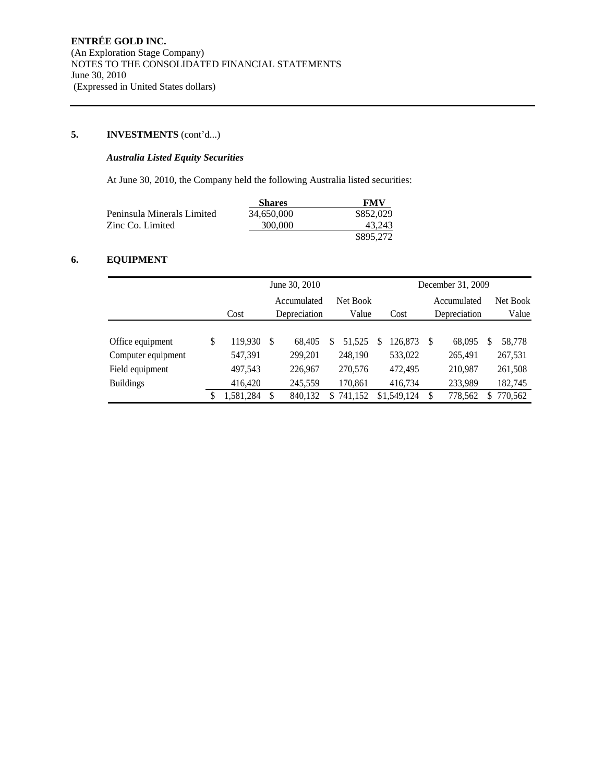# **5. INVESTMENTS** (cont'd...)

# *Australia Listed Equity Securities*

At June 30, 2010, the Company held the following Australia listed securities:

|                            | <b>Shares</b> | <b>FMV</b> |
|----------------------------|---------------|------------|
| Peninsula Minerals Limited | 34,650,000    | \$852,029  |
| Zinc Co. Limited           | 300,000       | 43.243     |
|                            |               | \$895,272  |

# **6. EQUIPMENT**

|                    | June 30, 2010 |              |         |               |          |   | December 31, 2009 |             |         |   |          |
|--------------------|---------------|--------------|---------|---------------|----------|---|-------------------|-------------|---------|---|----------|
|                    |               | Accumulated  |         |               | Net Book |   |                   | Accumulated |         |   | Net Book |
|                    | Cost          | Depreciation |         | Value<br>Cost |          |   | Depreciation      |             | Value   |   |          |
|                    |               |              |         |               |          |   |                   |             |         |   |          |
| Office equipment   | \$<br>119.930 | <b>S</b>     | 68.405  | 51.525<br>S   |          | S | 126.873           |             | 68,095  | S | 58,778   |
| Computer equipment | 547,391       |              | 299,201 | 248,190       |          |   | 533,022           |             | 265,491 |   | 267,531  |
| Field equipment    | 497,543       |              | 226,967 | 270,576       |          |   | 472,495           |             | 210,987 |   | 261,508  |
| <b>Buildings</b>   | 416,420       |              | 245,559 | 170,861       |          |   | 416,734           |             | 233,989 |   | 182,745  |
|                    | 1,581,284     |              | 840,132 | 741,152<br>S  |          |   | \$1,549,124       |             | 778,562 | S | 770,562  |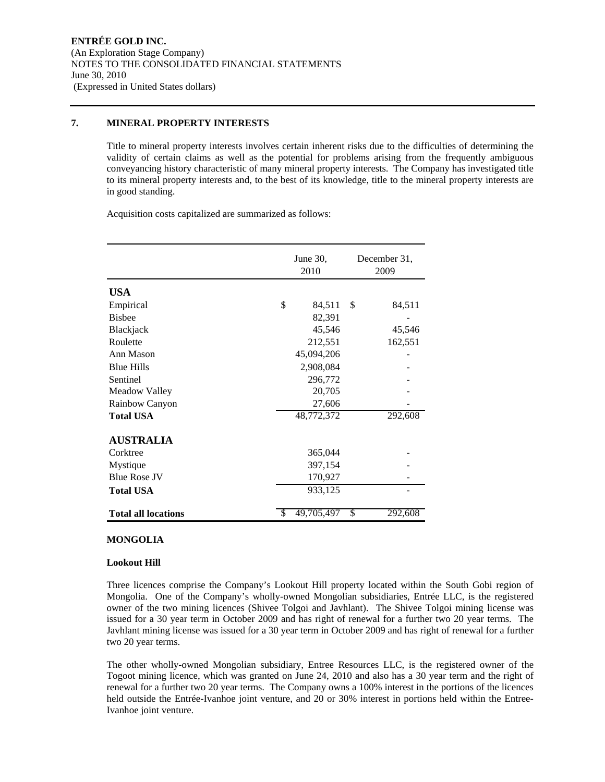#### **7. MINERAL PROPERTY INTERESTS**

Title to mineral property interests involves certain inherent risks due to the difficulties of determining the validity of certain claims as well as the potential for problems arising from the frequently ambiguous conveyancing history characteristic of many mineral property interests. The Company has investigated title to its mineral property interests and, to the best of its knowledge, title to the mineral property interests are in good standing.

Acquisition costs capitalized are summarized as follows:

|                            |     | June 30,<br>2010 | December 31,<br>2009 |  |  |
|----------------------------|-----|------------------|----------------------|--|--|
|                            |     |                  |                      |  |  |
| <b>USA</b>                 |     |                  |                      |  |  |
| Empirical                  | \$  | 84,511           | \$<br>84,511         |  |  |
| <b>Bisbee</b>              |     | 82,391           |                      |  |  |
| Blackjack                  |     | 45,546           | 45,546               |  |  |
| Roulette                   |     | 212,551          | 162,551              |  |  |
| Ann Mason                  |     | 45,094,206       |                      |  |  |
| <b>Blue Hills</b>          |     | 2,908,084        |                      |  |  |
| Sentinel                   |     | 296,772          |                      |  |  |
| Meadow Valley              |     | 20,705           |                      |  |  |
| Rainbow Canyon             |     | 27,606           |                      |  |  |
| <b>Total USA</b>           |     | 48,772,372       | 292,608              |  |  |
| <b>AUSTRALIA</b>           |     |                  |                      |  |  |
| Corktree                   |     | 365,044          |                      |  |  |
| Mystique                   |     | 397,154          |                      |  |  |
| <b>Blue Rose JV</b>        |     | 170,927          |                      |  |  |
| <b>Total USA</b>           |     | 933,125          |                      |  |  |
| <b>Total all locations</b> | \$. | 49,705,497       | \$<br>292,608        |  |  |

#### **MONGOLIA**

#### **Lookout Hill**

Three licences comprise the Company's Lookout Hill property located within the South Gobi region of Mongolia. One of the Company's wholly-owned Mongolian subsidiaries, Entrée LLC, is the registered owner of the two mining licences (Shivee Tolgoi and Javhlant). The Shivee Tolgoi mining license was issued for a 30 year term in October 2009 and has right of renewal for a further two 20 year terms. The Javhlant mining license was issued for a 30 year term in October 2009 and has right of renewal for a further two 20 year terms.

The other wholly-owned Mongolian subsidiary, Entree Resources LLC, is the registered owner of the Togoot mining licence, which was granted on June 24, 2010 and also has a 30 year term and the right of renewal for a further two 20 year terms. The Company owns a 100% interest in the portions of the licences held outside the Entrée-Ivanhoe joint venture, and 20 or 30% interest in portions held within the Entree-Ivanhoe joint venture.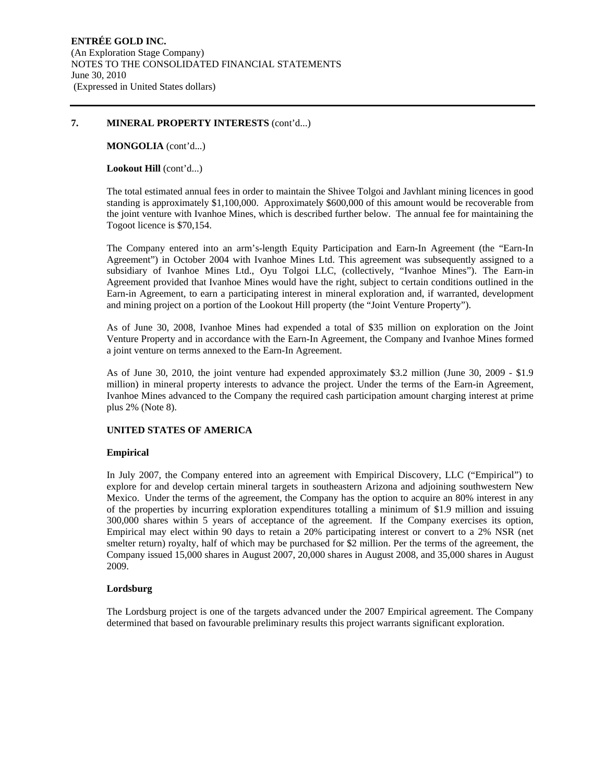**MONGOLIA** (cont'd...)

#### Lookout Hill (cont'd...)

The total estimated annual fees in order to maintain the Shivee Tolgoi and Javhlant mining licences in good standing is approximately \$1,100,000. Approximately \$600,000 of this amount would be recoverable from the joint venture with Ivanhoe Mines, which is described further below. The annual fee for maintaining the Togoot licence is \$70,154.

The Company entered into an arm's-length Equity Participation and Earn-In Agreement (the "Earn-In Agreement") in October 2004 with Ivanhoe Mines Ltd. This agreement was subsequently assigned to a subsidiary of Ivanhoe Mines Ltd., Oyu Tolgoi LLC, (collectively, "Ivanhoe Mines"). The Earn-in Agreement provided that Ivanhoe Mines would have the right, subject to certain conditions outlined in the Earn-in Agreement, to earn a participating interest in mineral exploration and, if warranted, development and mining project on a portion of the Lookout Hill property (the "Joint Venture Property").

As of June 30, 2008, Ivanhoe Mines had expended a total of \$35 million on exploration on the Joint Venture Property and in accordance with the Earn-In Agreement, the Company and Ivanhoe Mines formed a joint venture on terms annexed to the Earn-In Agreement.

As of June 30, 2010, the joint venture had expended approximately \$3.2 million (June 30, 2009 - \$1.9 million) in mineral property interests to advance the project. Under the terms of the Earn-in Agreement, Ivanhoe Mines advanced to the Company the required cash participation amount charging interest at prime plus 2% (Note 8).

#### **UNITED STATES OF AMERICA**

#### **Empirical**

In July 2007, the Company entered into an agreement with Empirical Discovery, LLC ("Empirical") to explore for and develop certain mineral targets in southeastern Arizona and adjoining southwestern New Mexico. Under the terms of the agreement, the Company has the option to acquire an 80% interest in any of the properties by incurring exploration expenditures totalling a minimum of \$1.9 million and issuing 300,000 shares within 5 years of acceptance of the agreement. If the Company exercises its option, Empirical may elect within 90 days to retain a 20% participating interest or convert to a 2% NSR (net smelter return) royalty, half of which may be purchased for \$2 million. Per the terms of the agreement, the Company issued 15,000 shares in August 2007, 20,000 shares in August 2008, and 35,000 shares in August 2009.

#### **Lordsburg**

The Lordsburg project is one of the targets advanced under the 2007 Empirical agreement. The Company determined that based on favourable preliminary results this project warrants significant exploration.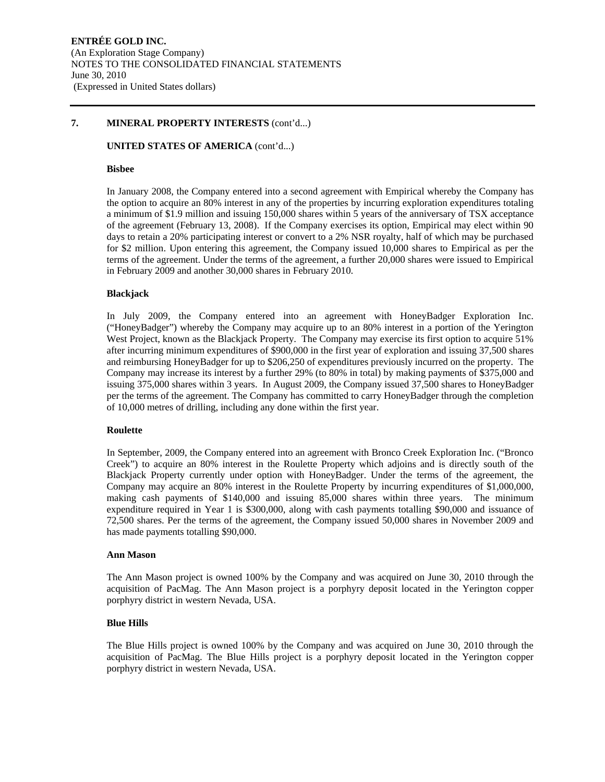#### **UNITED STATES OF AMERICA** (cont'd...)

#### **Bisbee**

In January 2008, the Company entered into a second agreement with Empirical whereby the Company has the option to acquire an 80% interest in any of the properties by incurring exploration expenditures totaling a minimum of \$1.9 million and issuing 150,000 shares within 5 years of the anniversary of TSX acceptance of the agreement (February 13, 2008). If the Company exercises its option, Empirical may elect within 90 days to retain a 20% participating interest or convert to a 2% NSR royalty, half of which may be purchased for \$2 million. Upon entering this agreement, the Company issued 10,000 shares to Empirical as per the terms of the agreement. Under the terms of the agreement, a further 20,000 shares were issued to Empirical in February 2009 and another 30,000 shares in February 2010.

#### **Blackjack**

In July 2009, the Company entered into an agreement with HoneyBadger Exploration Inc. ("HoneyBadger") whereby the Company may acquire up to an 80% interest in a portion of the Yerington West Project, known as the Blackjack Property. The Company may exercise its first option to acquire 51% after incurring minimum expenditures of \$900,000 in the first year of exploration and issuing 37,500 shares and reimbursing HoneyBadger for up to \$206,250 of expenditures previously incurred on the property. The Company may increase its interest by a further 29% (to 80% in total) by making payments of \$375,000 and issuing 375,000 shares within 3 years. In August 2009, the Company issued 37,500 shares to HoneyBadger per the terms of the agreement. The Company has committed to carry HoneyBadger through the completion of 10,000 metres of drilling, including any done within the first year.

#### **Roulette**

In September, 2009, the Company entered into an agreement with Bronco Creek Exploration Inc. ("Bronco Creek") to acquire an 80% interest in the Roulette Property which adjoins and is directly south of the Blackjack Property currently under option with HoneyBadger. Under the terms of the agreement, the Company may acquire an 80% interest in the Roulette Property by incurring expenditures of \$1,000,000, making cash payments of \$140,000 and issuing 85,000 shares within three years. The minimum expenditure required in Year 1 is \$300,000, along with cash payments totalling \$90,000 and issuance of 72,500 shares. Per the terms of the agreement, the Company issued 50,000 shares in November 2009 and has made payments totalling \$90,000.

#### **Ann Mason**

The Ann Mason project is owned 100% by the Company and was acquired on June 30, 2010 through the acquisition of PacMag. The Ann Mason project is a porphyry deposit located in the Yerington copper porphyry district in western Nevada, USA.

#### **Blue Hills**

The Blue Hills project is owned 100% by the Company and was acquired on June 30, 2010 through the acquisition of PacMag. The Blue Hills project is a porphyry deposit located in the Yerington copper porphyry district in western Nevada, USA.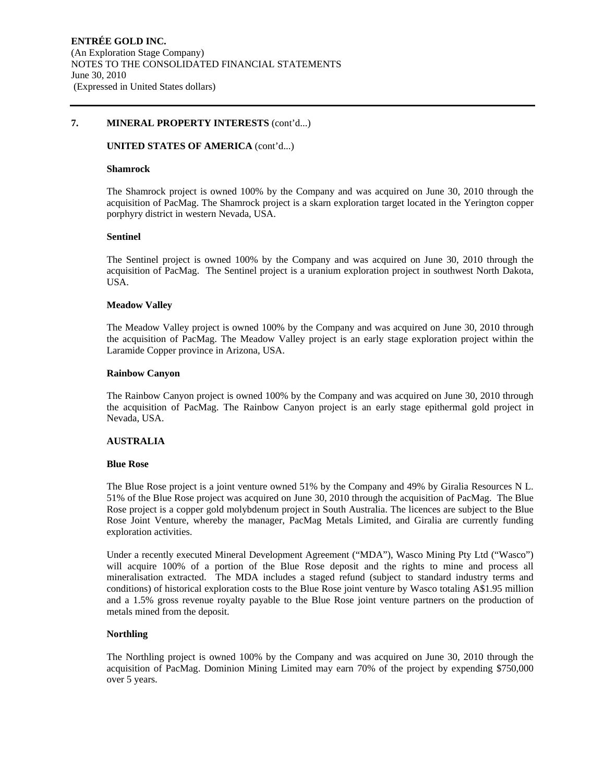#### **UNITED STATES OF AMERICA** (cont'd...)

#### **Shamrock**

The Shamrock project is owned 100% by the Company and was acquired on June 30, 2010 through the acquisition of PacMag. The Shamrock project is a skarn exploration target located in the Yerington copper porphyry district in western Nevada, USA.

#### **Sentinel**

The Sentinel project is owned 100% by the Company and was acquired on June 30, 2010 through the acquisition of PacMag. The Sentinel project is a uranium exploration project in southwest North Dakota, USA.

#### **Meadow Valley**

The Meadow Valley project is owned 100% by the Company and was acquired on June 30, 2010 through the acquisition of PacMag. The Meadow Valley project is an early stage exploration project within the Laramide Copper province in Arizona, USA.

#### **Rainbow Canyon**

The Rainbow Canyon project is owned 100% by the Company and was acquired on June 30, 2010 through the acquisition of PacMag. The Rainbow Canyon project is an early stage epithermal gold project in Nevada, USA.

#### **AUSTRALIA**

#### **Blue Rose**

The Blue Rose project is a joint venture owned 51% by the Company and 49% by Giralia Resources N L. 51% of the Blue Rose project was acquired on June 30, 2010 through the acquisition of PacMag. The Blue Rose project is a copper gold molybdenum project in South Australia. The licences are subject to the Blue Rose Joint Venture, whereby the manager, PacMag Metals Limited, and Giralia are currently funding exploration activities.

Under a recently executed Mineral Development Agreement ("MDA"), Wasco Mining Pty Ltd ("Wasco") will acquire 100% of a portion of the Blue Rose deposit and the rights to mine and process all mineralisation extracted. The MDA includes a staged refund (subject to standard industry terms and conditions) of historical exploration costs to the Blue Rose joint venture by Wasco totaling A\$1.95 million and a 1.5% gross revenue royalty payable to the Blue Rose joint venture partners on the production of metals mined from the deposit.

#### **Northling**

The Northling project is owned 100% by the Company and was acquired on June 30, 2010 through the acquisition of PacMag. Dominion Mining Limited may earn 70% of the project by expending \$750,000 over 5 years.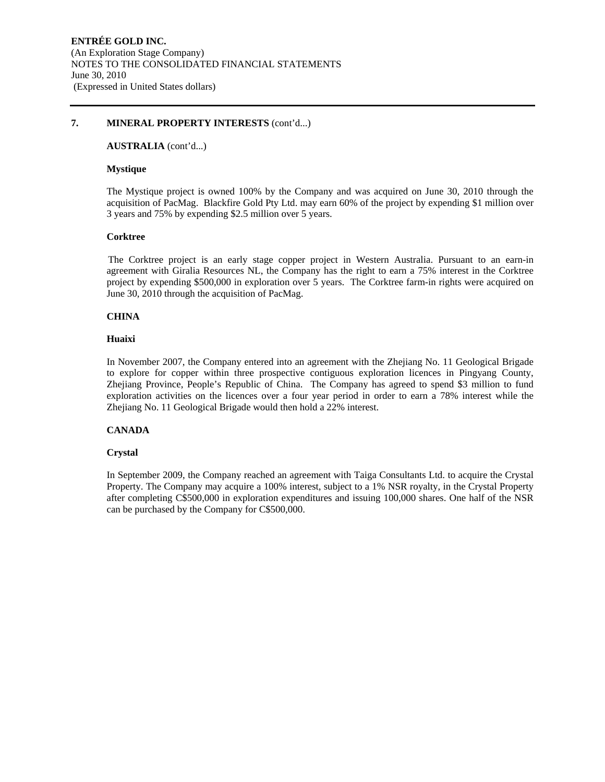#### **AUSTRALIA** (cont'd...)

#### **Mystique**

The Mystique project is owned 100% by the Company and was acquired on June 30, 2010 through the acquisition of PacMag. Blackfire Gold Pty Ltd. may earn 60% of the project by expending \$1 million over 3 years and 75% by expending \$2.5 million over 5 years.

#### **Corktree**

The Corktree project is an early stage copper project in Western Australia. Pursuant to an earn-in agreement with Giralia Resources NL, the Company has the right to earn a 75% interest in the Corktree project by expending \$500,000 in exploration over 5 years. The Corktree farm-in rights were acquired on June 30, 2010 through the acquisition of PacMag.

#### **CHINA**

#### **Huaixi**

In November 2007, the Company entered into an agreement with the Zhejiang No. 11 Geological Brigade to explore for copper within three prospective contiguous exploration licences in Pingyang County, Zhejiang Province, People's Republic of China. The Company has agreed to spend \$3 million to fund exploration activities on the licences over a four year period in order to earn a 78% interest while the Zhejiang No. 11 Geological Brigade would then hold a 22% interest.

# **CANADA**

# **Crystal**

In September 2009, the Company reached an agreement with Taiga Consultants Ltd. to acquire the Crystal Property. The Company may acquire a 100% interest, subject to a 1% NSR royalty, in the Crystal Property after completing C\$500,000 in exploration expenditures and issuing 100,000 shares. One half of the NSR can be purchased by the Company for C\$500,000.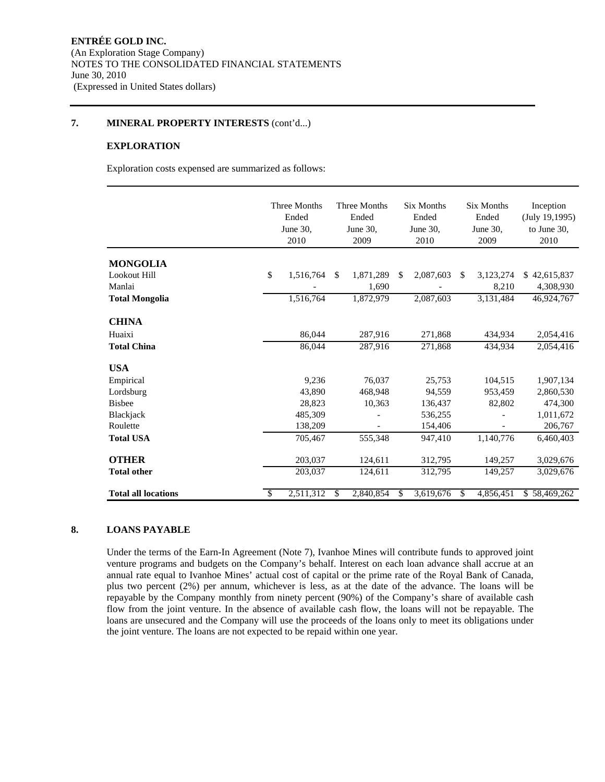#### **EXPLORATION**

Exploration costs expensed are summarized as follows:

|                            | Three Months<br>Ended<br>June 30,<br>2010 |           |               | Three Months<br>Ended<br>June 30.<br>2009 | <b>Six Months</b><br>Ended<br>June 30.<br>2010 |           | <b>Six Months</b><br>Ended<br>June 30.<br>2009 |                    | Inception<br>(July 19, 1995)<br>to June 30,<br>2010 |  |
|----------------------------|-------------------------------------------|-----------|---------------|-------------------------------------------|------------------------------------------------|-----------|------------------------------------------------|--------------------|-----------------------------------------------------|--|
| <b>MONGOLIA</b>            |                                           |           |               |                                           |                                                |           |                                                |                    |                                                     |  |
| Lookout Hill<br>Manlai     | \$                                        | 1,516,764 | <sup>\$</sup> | 1,871,289<br>1.690                        | \$.                                            | 2,087,603 | \$.                                            | 3,123,274<br>8,210 | \$42,615,837<br>4,308,930                           |  |
| <b>Total Mongolia</b>      |                                           | 1,516,764 |               | 1,872,979                                 |                                                | 2,087,603 |                                                | 3,131,484          | 46,924,767                                          |  |
| <b>CHINA</b>               |                                           |           |               |                                           |                                                |           |                                                |                    |                                                     |  |
| Huaixi                     |                                           | 86.044    |               | 287,916                                   |                                                | 271,868   |                                                | 434.934            | 2,054,416                                           |  |
| <b>Total China</b>         |                                           | 86,044    |               | 287,916                                   |                                                | 271,868   |                                                | 434,934            | 2,054,416                                           |  |
| <b>USA</b>                 |                                           |           |               |                                           |                                                |           |                                                |                    |                                                     |  |
| Empirical                  |                                           | 9,236     |               | 76,037                                    |                                                | 25,753    |                                                | 104,515            | 1,907,134                                           |  |
| Lordsburg                  |                                           | 43.890    |               | 468.948                                   |                                                | 94.559    |                                                | 953.459            | 2,860,530                                           |  |
| <b>Bisbee</b>              |                                           | 28,823    |               | 10,363                                    |                                                | 136,437   |                                                | 82,802             | 474,300                                             |  |
| Blackjack                  |                                           | 485,309   |               |                                           |                                                | 536,255   |                                                |                    | 1,011,672                                           |  |
| Roulette                   |                                           | 138,209   |               |                                           |                                                | 154,406   |                                                |                    | 206,767                                             |  |
| <b>Total USA</b>           |                                           | 705,467   |               | 555,348                                   |                                                | 947,410   |                                                | 1,140,776          | 6,460,403                                           |  |
| <b>OTHER</b>               |                                           | 203,037   |               | 124,611                                   |                                                | 312,795   |                                                | 149,257            | 3,029,676                                           |  |
| <b>Total other</b>         |                                           | 203,037   |               | 124,611                                   |                                                | 312,795   |                                                | 149,257            | 3,029,676                                           |  |
| <b>Total all locations</b> | S                                         | 2,511,312 | S             | 2,840,854                                 | S.                                             | 3,619,676 | \$.                                            | 4,856,451          | \$58,469,262                                        |  |

# **8. LOANS PAYABLE**

Under the terms of the Earn-In Agreement (Note 7), Ivanhoe Mines will contribute funds to approved joint venture programs and budgets on the Company's behalf. Interest on each loan advance shall accrue at an annual rate equal to Ivanhoe Mines' actual cost of capital or the prime rate of the Royal Bank of Canada, plus two percent (2%) per annum, whichever is less, as at the date of the advance. The loans will be repayable by the Company monthly from ninety percent (90%) of the Company's share of available cash flow from the joint venture. In the absence of available cash flow, the loans will not be repayable. The loans are unsecured and the Company will use the proceeds of the loans only to meet its obligations under the joint venture. The loans are not expected to be repaid within one year.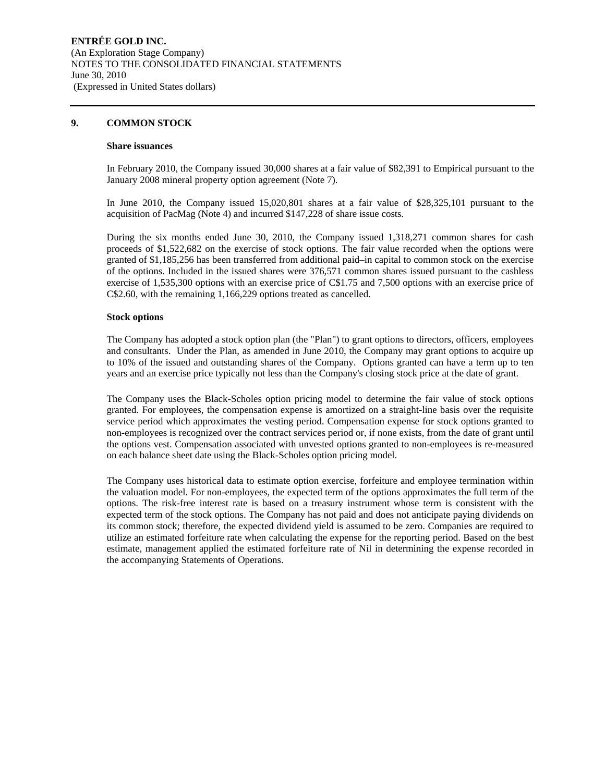#### **9. COMMON STOCK**

#### **Share issuances**

In February 2010, the Company issued 30,000 shares at a fair value of \$82,391 to Empirical pursuant to the January 2008 mineral property option agreement (Note 7).

In June 2010, the Company issued 15,020,801 shares at a fair value of \$28,325,101 pursuant to the acquisition of PacMag (Note 4) and incurred \$147,228 of share issue costs.

During the six months ended June 30, 2010, the Company issued 1,318,271 common shares for cash proceeds of \$1,522,682 on the exercise of stock options. The fair value recorded when the options were granted of \$1,185,256 has been transferred from additional paid–in capital to common stock on the exercise of the options. Included in the issued shares were 376,571 common shares issued pursuant to the cashless exercise of 1,535,300 options with an exercise price of C\$1.75 and 7,500 options with an exercise price of C\$2.60, with the remaining 1,166,229 options treated as cancelled.

#### **Stock options**

The Company has adopted a stock option plan (the "Plan") to grant options to directors, officers, employees and consultants. Under the Plan, as amended in June 2010, the Company may grant options to acquire up to 10% of the issued and outstanding shares of the Company. Options granted can have a term up to ten years and an exercise price typically not less than the Company's closing stock price at the date of grant.

The Company uses the Black-Scholes option pricing model to determine the fair value of stock options granted. For employees, the compensation expense is amortized on a straight-line basis over the requisite service period which approximates the vesting period. Compensation expense for stock options granted to non-employees is recognized over the contract services period or, if none exists, from the date of grant until the options vest. Compensation associated with unvested options granted to non-employees is re-measured on each balance sheet date using the Black-Scholes option pricing model.

The Company uses historical data to estimate option exercise, forfeiture and employee termination within the valuation model. For non-employees, the expected term of the options approximates the full term of the options. The risk-free interest rate is based on a treasury instrument whose term is consistent with the expected term of the stock options. The Company has not paid and does not anticipate paying dividends on its common stock; therefore, the expected dividend yield is assumed to be zero. Companies are required to utilize an estimated forfeiture rate when calculating the expense for the reporting period. Based on the best estimate, management applied the estimated forfeiture rate of Nil in determining the expense recorded in the accompanying Statements of Operations.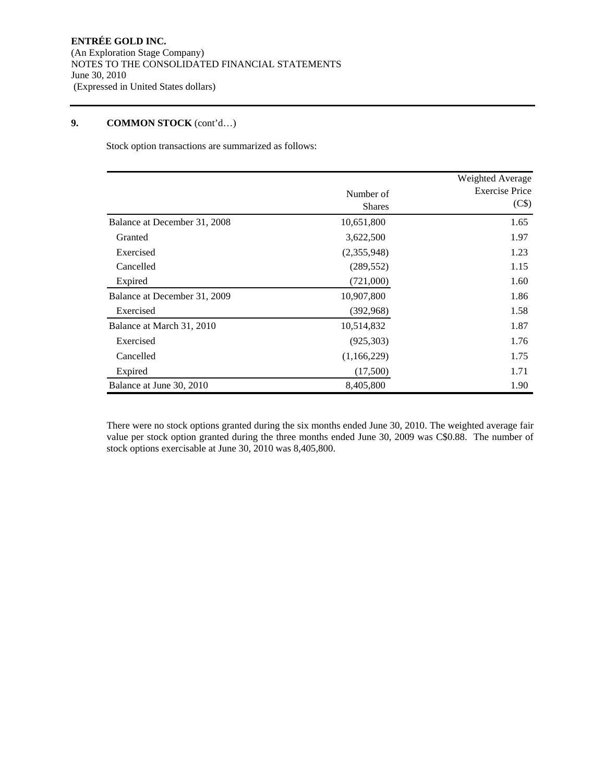Stock option transactions are summarized as follows:

|                              |                            | Weighted Average               |
|------------------------------|----------------------------|--------------------------------|
|                              | Number of<br><b>Shares</b> | <b>Exercise Price</b><br>(C\$) |
| Balance at December 31, 2008 | 10,651,800                 | 1.65                           |
| Granted                      | 3,622,500                  | 1.97                           |
| Exercised                    | (2,355,948)                | 1.23                           |
| Cancelled                    | (289, 552)                 | 1.15                           |
| Expired                      | (721,000)                  | 1.60                           |
| Balance at December 31, 2009 | 10,907,800                 | 1.86                           |
| Exercised                    | (392,968)                  | 1.58                           |
| Balance at March 31, 2010    | 10,514,832                 | 1.87                           |
| Exercised                    | (925, 303)                 | 1.76                           |
| Cancelled                    | (1,166,229)                | 1.75                           |
| Expired                      | (17,500)                   | 1.71                           |
| Balance at June 30, 2010     | 8,405,800                  | 1.90                           |

There were no stock options granted during the six months ended June 30, 2010. The weighted average fair value per stock option granted during the three months ended June 30, 2009 was C\$0.88. The number of stock options exercisable at June 30, 2010 was 8,405,800.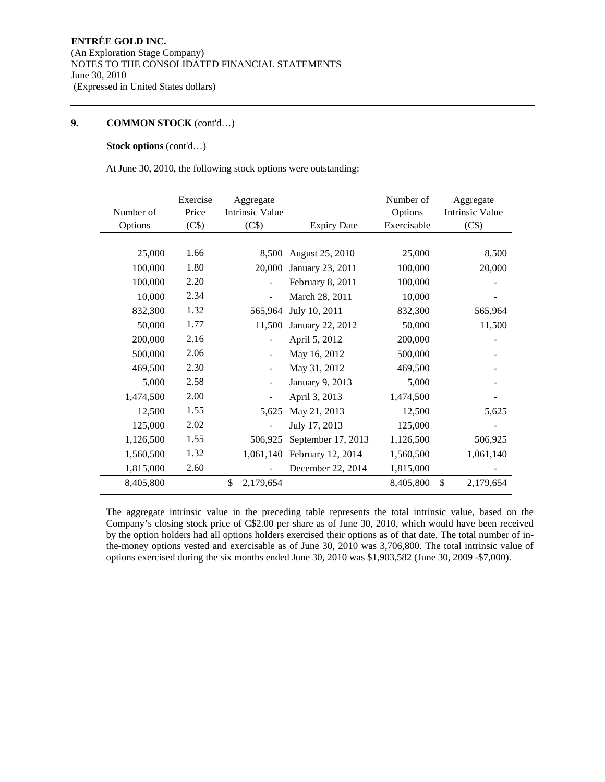## **Stock options** (cont'd…)

At June 30, 2010, the following stock options were outstanding:

| Number of | Exercise<br>Price | Aggregate<br><b>Intrinsic Value</b> |                    | Number of<br>Options | Aggregate<br><b>Intrinsic Value</b> |
|-----------|-------------------|-------------------------------------|--------------------|----------------------|-------------------------------------|
| Options   | (C\$)             | (C\$)                               | <b>Expiry Date</b> | Exercisable          | (C\$)                               |
|           |                   |                                     |                    |                      |                                     |
| 25,000    | 1.66              | 8,500                               | August 25, 2010    | 25,000               | 8,500                               |
| 100,000   | 1.80              | 20,000                              | January 23, 2011   | 100,000              | 20,000                              |
| 100,000   | 2.20              |                                     | February 8, 2011   | 100,000              |                                     |
| 10,000    | 2.34              |                                     | March 28, 2011     | 10,000               |                                     |
| 832,300   | 1.32              | 565,964                             | July 10, 2011      | 832,300              | 565,964                             |
| 50,000    | 1.77              | 11,500                              | January 22, 2012   | 50,000               | 11,500                              |
| 200,000   | 2.16              |                                     | April 5, 2012      | 200,000              |                                     |
| 500,000   | 2.06              |                                     | May 16, 2012       | 500,000              |                                     |
| 469,500   | 2.30              |                                     | May 31, 2012       | 469,500              |                                     |
| 5,000     | 2.58              |                                     | January 9, 2013    | 5,000                |                                     |
| 1,474,500 | 2.00              |                                     | April 3, 2013      | 1,474,500            |                                     |
| 12,500    | 1.55              | 5,625                               | May 21, 2013       | 12,500               | 5,625                               |
| 125,000   | 2.02              |                                     | July 17, 2013      | 125,000              |                                     |
| 1,126,500 | 1.55              | 506,925                             | September 17, 2013 | 1,126,500            | 506,925                             |
| 1,560,500 | 1.32              | 1,061,140                           | February 12, 2014  | 1,560,500            | 1,061,140                           |
| 1,815,000 | 2.60              |                                     | December 22, 2014  | 1,815,000            |                                     |
| 8,405,800 |                   | \$<br>2,179,654                     |                    | 8,405,800            | \$<br>2,179,654                     |

The aggregate intrinsic value in the preceding table represents the total intrinsic value, based on the Company's closing stock price of C\$2.00 per share as of June 30, 2010, which would have been received by the option holders had all options holders exercised their options as of that date. The total number of inthe-money options vested and exercisable as of June 30, 2010 was 3,706,800. The total intrinsic value of options exercised during the six months ended June 30, 2010 was \$1,903,582 (June 30, 2009 -\$7,000).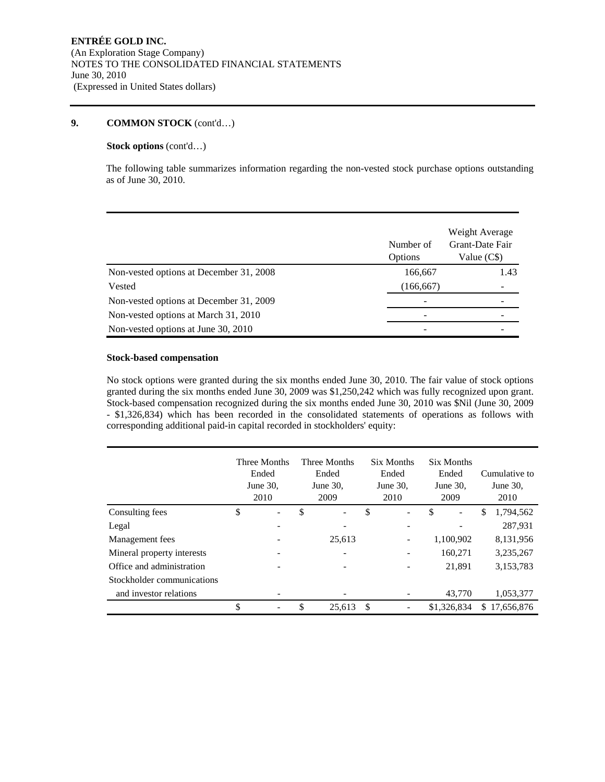# **Stock options** (cont'd…)

The following table summarizes information regarding the non-vested stock purchase options outstanding as of June 30, 2010.

|                                         | Number of<br><b>Options</b> | Weight Average<br>Grant-Date Fair<br>Value (C\$) |
|-----------------------------------------|-----------------------------|--------------------------------------------------|
| Non-vested options at December 31, 2008 | 166,667                     | 1.43                                             |
| Vested                                  | (166, 667)                  |                                                  |
| Non-vested options at December 31, 2009 |                             |                                                  |
| Non-vested options at March 31, 2010    |                             |                                                  |
| Non-vested options at June 30, 2010     |                             |                                                  |

#### **Stock-based compensation**

No stock options were granted during the six months ended June 30, 2010. The fair value of stock options granted during the six months ended June 30, 2009 was \$1,250,242 which was fully recognized upon grant. Stock-based compensation recognized during the six months ended June 30, 2010 was \$Nil (June 30, 2009 - \$1,326,834) which has been recorded in the consolidated statements of operations as follows with corresponding additional paid-in capital recorded in stockholders' equity:

|                            | Three Months<br>Ended<br>June 30,<br>2010 | Three Months<br>Ended<br>June $30$ ,<br>2009 |        | Six Months<br>Ended<br>June $30$ ,<br>2010 |                          | Six Months<br>Ended<br>June $30$ ,<br>2009 |             | Cumulative to<br>June 30,<br>2010 |            |
|----------------------------|-------------------------------------------|----------------------------------------------|--------|--------------------------------------------|--------------------------|--------------------------------------------|-------------|-----------------------------------|------------|
| Consulting fees            | \$                                        | \$                                           |        | \$                                         | $\overline{\phantom{a}}$ | \$                                         |             | \$                                | 1,794,562  |
| Legal                      |                                           |                                              |        |                                            |                          |                                            |             |                                   | 287,931    |
| Management fees            |                                           |                                              | 25.613 |                                            | -                        |                                            | 1,100,902   |                                   | 8,131,956  |
| Mineral property interests |                                           |                                              |        |                                            |                          |                                            | 160,271     |                                   | 3,235,267  |
| Office and administration  |                                           |                                              |        |                                            |                          |                                            | 21,891      |                                   | 3,153,783  |
| Stockholder communications |                                           |                                              |        |                                            |                          |                                            |             |                                   |            |
| and investor relations     |                                           |                                              |        |                                            |                          |                                            | 43,770      |                                   | 1,053,377  |
|                            | \$                                        | \$                                           | 25,613 | -S                                         |                          |                                            | \$1,326,834 | \$.                               | 17,656,876 |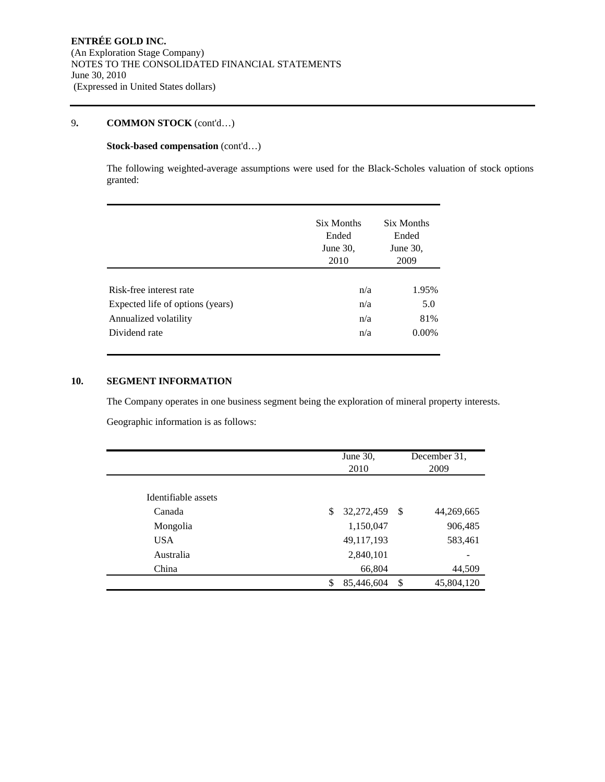# **Stock-based compensation** (cont'd…)

The following weighted-average assumptions were used for the Black-Scholes valuation of stock options granted:

|                                  | Six Months<br>Ended<br>June $30$ ,<br>2010 | Six Months<br>Ended<br>June $30$ ,<br>2009 |  |
|----------------------------------|--------------------------------------------|--------------------------------------------|--|
| Risk-free interest rate          | n/a                                        | 1.95%                                      |  |
| Expected life of options (years) | n/a                                        | 5.0                                        |  |
| Annualized volatility            | n/a                                        | 81%                                        |  |
| Dividend rate                    | n/a                                        | $0.00\%$                                   |  |

# **10. SEGMENT INFORMATION**

The Company operates in one business segment being the exploration of mineral property interests.

Geographic information is as follows:

|                     | June 30,<br>2010 |    | December 31,<br>2009 |
|---------------------|------------------|----|----------------------|
| Identifiable assets |                  |    |                      |
| Canada              | \$<br>32,272,459 | -S | 44,269,665           |
| Mongolia            | 1,150,047        |    | 906,485              |
| <b>USA</b>          | 49,117,193       |    | 583,461              |
| Australia           | 2,840,101        |    |                      |
| China               | 66,804           |    | 44,509               |
|                     | 85,446,604<br>\$ | \$ | 45,804,120           |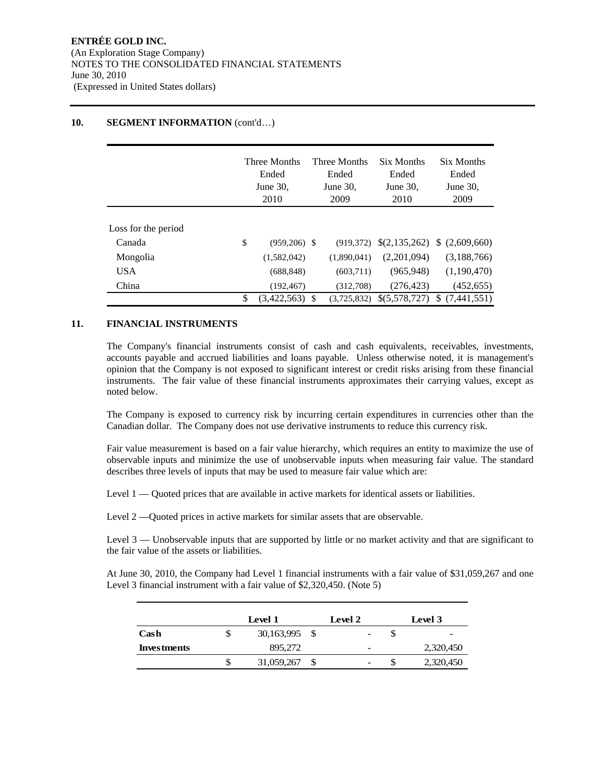## **10. SEGMENT INFORMATION** (cont'd...)

|                     | Three Months<br>Ended<br>June 30,<br>2010 |                  | Three Months<br>Ended<br>June 30,<br>2009 | Six Months<br>Ended<br>June 30,<br>2010 | Six Months<br>Ended<br>June 30,<br>2009 |  |
|---------------------|-------------------------------------------|------------------|-------------------------------------------|-----------------------------------------|-----------------------------------------|--|
| Loss for the period |                                           |                  |                                           |                                         |                                         |  |
| Canada              | \$                                        | $(959.206)$ \$   | (919.372)                                 |                                         | $$(2,135,262) \$ (2,609,660)$           |  |
| Mongolia            |                                           | (1,582,042)      | (1,890,041)                               | (2,201,094)                             | (3,188,766)                             |  |
| <b>USA</b>          |                                           | (688, 848)       | (603,711)                                 | (965, 948)                              | (1,190,470)                             |  |
| China               |                                           | (192, 467)       | (312.708)                                 | (276, 423)                              | (452, 655)                              |  |
|                     | \$                                        | $(3.422.563)$ \$ | (3.725.832)                               | \$(5,578,727)                           | \$(7.441.551)                           |  |

## **11. FINANCIAL INSTRUMENTS**

The Company's financial instruments consist of cash and cash equivalents, receivables, investments, accounts payable and accrued liabilities and loans payable. Unless otherwise noted, it is management's opinion that the Company is not exposed to significant interest or credit risks arising from these financial instruments. The fair value of these financial instruments approximates their carrying values, except as noted below.

The Company is exposed to currency risk by incurring certain expenditures in currencies other than the Canadian dollar. The Company does not use derivative instruments to reduce this currency risk.

Fair value measurement is based on a fair value hierarchy, which requires an entity to maximize the use of observable inputs and minimize the use of unobservable inputs when measuring fair value. The standard describes three levels of inputs that may be used to measure fair value which are:

Level 1 — Quoted prices that are available in active markets for identical assets or liabilities.

Level 2 — Quoted prices in active markets for similar assets that are observable.

Level 3 — Unobservable inputs that are supported by little or no market activity and that are significant to the fair value of the assets or liabilities.

At June 30, 2010, the Company had Level 1 financial instruments with a fair value of \$31,059,267 and one Level 3 financial instrument with a fair value of \$2,320,450. (Note 5)

|                    |   | Level 1       |  | Level 2                  |   | Level 3   |  |  |
|--------------------|---|---------------|--|--------------------------|---|-----------|--|--|
| Cash               | S | 30,163,995 \$ |  | $\overline{\phantom{a}}$ |   | -         |  |  |
| <b>Investments</b> |   | 895,272       |  | -                        |   | 2,320,450 |  |  |
|                    | S | 31,059,267    |  | $\overline{\phantom{a}}$ | Ъ | 2,320,450 |  |  |